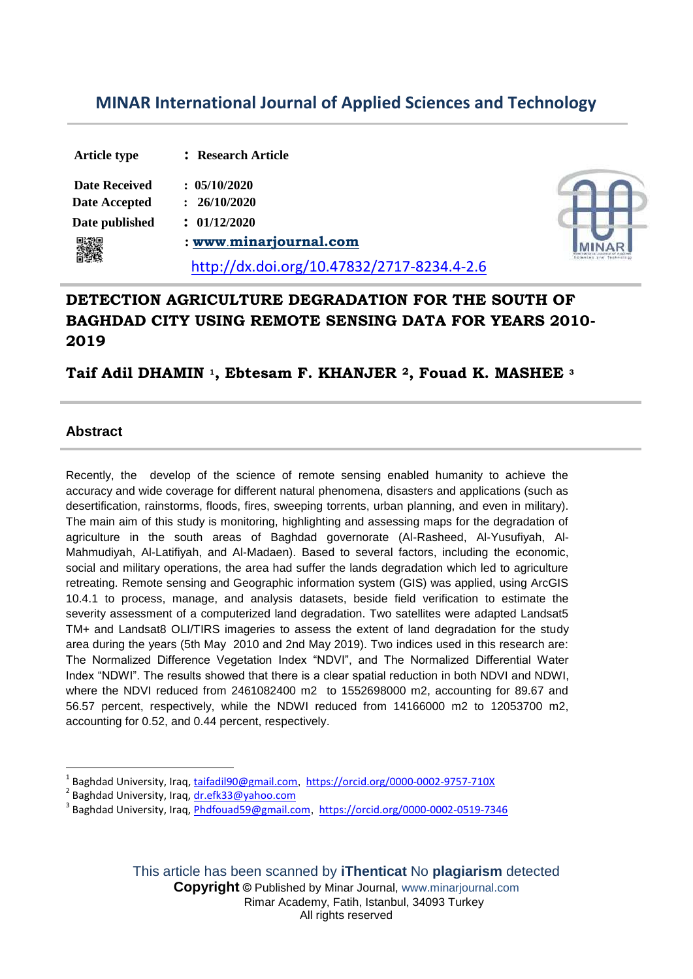# **MINAR International Journal of Applied Sciences and Technology**

| <b>Article type</b>  | : Research Article                         |  |
|----------------------|--------------------------------------------|--|
| <b>Date Received</b> | : 05/10/2020                               |  |
| <b>Date Accepted</b> | 26/10/2020                                 |  |
| Date published       | : 01/12/2020                               |  |
|                      | : www.minarjournal.com                     |  |
|                      | http://dx.doi.org/10.47832/2717-8234.4-2.6 |  |

## **DETECTION AGRICULTURE DEGRADATION FOR THE SOUTH OF BAGHDAD CITY USING REMOTE SENSING DATA FOR YEARS 2010- 2019**

**Taif Adil DHAMIN <sup>1</sup>, Ebtesam F. KHANJER <sup>2</sup> , Fouad K. MASHEE <sup>3</sup>**

### **Abstract**

**.** 

Recently, the develop of the science of remote sensing enabled humanity to achieve the accuracy and wide coverage for different natural phenomena, disasters and applications (such as desertification, rainstorms, floods, fires, sweeping torrents, urban planning, and even in military). The main aim of this study is monitoring, highlighting and assessing maps for the degradation of agriculture in the south areas of Baghdad governorate (Al-Rasheed, Al-Yusufiyah, Al-Mahmudiyah, Al-Latifiyah, and Al-Madaen). Based to several factors, including the economic, social and military operations, the area had suffer the lands degradation which led to agriculture retreating. Remote sensing and Geographic information system (GIS) was applied, using ArcGIS 10.4.1 to process, manage, and analysis datasets, beside field verification to estimate the severity assessment of a computerized land degradation. Two satellites were adapted Landsat5 TM+ and Landsat8 OLI/TIRS imageries to assess the extent of land degradation for the study area during the years (5th May 2010 and 2nd May 2019). Two indices used in this research are: The Normalized Difference Vegetation Index "NDVI", and The Normalized Differential Water Index "NDWI". The results showed that there is a clear spatial reduction in both NDVI and NDWI, where the NDVI reduced from 2461082400 m2 to 1552698000 m2, accounting for 89.67 and 56.57 percent, respectively, while the NDWI reduced from 14166000 m2 to 12053700 m2, accounting for 0.52, and 0.44 percent, respectively.

<sup>1</sup> Baghdad University, Iraq, taifadil90@gmail.com, https://orcid.org/0000-0002-9757-710X

<sup>&</sup>lt;sup>2</sup> Baghdad University, Iraq, <u>dr.efk33@yahoo.com</u>

<sup>&</sup>lt;sup>3</sup> Baghdad University, Iraq, *Phdfouad59@gmail.com*, https://orcid.org/0000-0002-0519-7346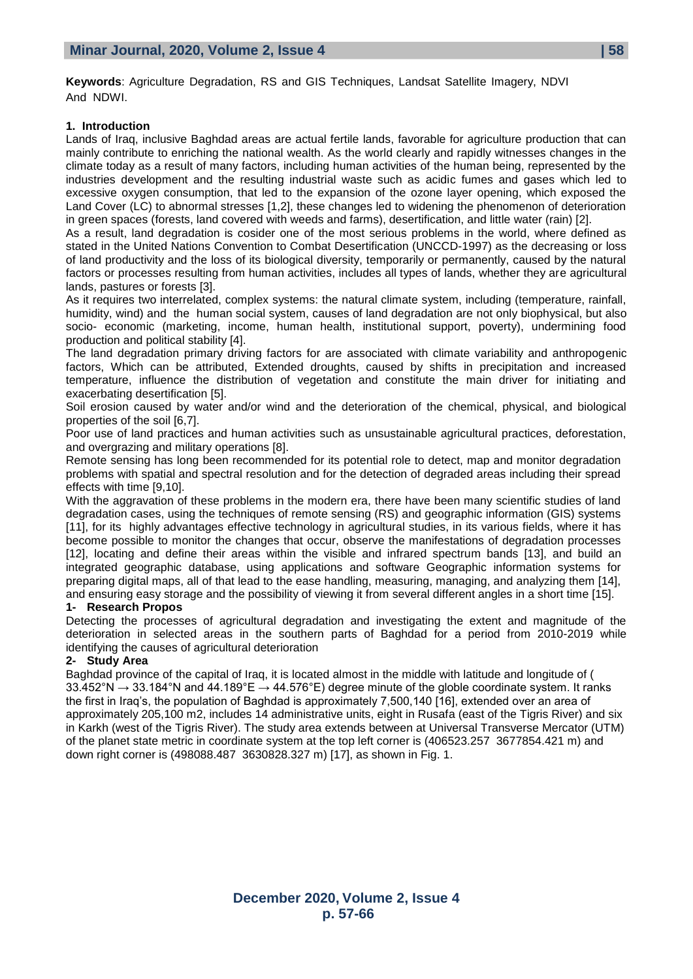**Keywords**: Agriculture Degradation, RS and GIS Techniques, Landsat Satellite Imagery, NDVI And NDWI.

#### **1. Introduction**

Lands of Iraq, inclusive Baghdad areas are actual fertile lands, favorable for agriculture production that can mainly contribute to enriching the national wealth. As the world clearly and rapidly witnesses changes in the climate today as a result of many factors, including human activities of the human being, represented by the industries development and the resulting industrial waste such as acidic fumes and gases which led to excessive oxygen consumption, that led to the expansion of the ozone layer opening, which exposed the Land Cover (LC) to abnormal stresses [1,2], these changes led to widening the phenomenon of deterioration in green spaces (forests, land covered with weeds and farms), desertification, and little water (rain) [2].

As a result, land degradation is cosider one of the most serious problems in the world, where defined as stated in the United Nations Convention to Combat Desertification (UNCCD-1997) as the decreasing or loss of land productivity and the loss of its biological diversity, temporarily or permanently, caused by the natural factors or processes resulting from human activities, includes all types of lands, whether they are agricultural lands, pastures or forests [3].

As it requires two interrelated, complex systems: the natural climate system, including (temperature, rainfall, humidity, wind) and the human social system, causes of land degradation are not only biophysical, but also socio- economic (marketing, income, human health, institutional support, poverty), undermining food production and political stability [4].

The land degradation primary driving factors for are associated with climate variability and anthropogenic factors, Which can be attributed, Extended droughts, caused by shifts in precipitation and increased temperature, influence the distribution of vegetation and constitute the main driver for initiating and exacerbating desertification [5].

Soil erosion caused by water and/or wind and the deterioration of the chemical, physical, and biological properties of the soil [6,7].

Poor use of land practices and human activities such as unsustainable agricultural practices, deforestation, and overgrazing and military operations [8].

Remote sensing has long been recommended for its potential role to detect, map and monitor degradation problems with spatial and spectral resolution and for the detection of degraded areas including their spread effects with time [9,10].

With the aggravation of these problems in the modern era, there have been many scientific studies of land degradation cases, using the techniques of remote sensing (RS) and geographic information (GIS) systems [11], for its highly advantages effective technology in agricultural studies, in its various fields, where it has become possible to monitor the changes that occur, observe the manifestations of degradation processes [12], locating and define their areas within the visible and infrared spectrum bands [13], and build an integrated geographic database, using applications and software Geographic information systems for preparing digital maps, all of that lead to the ease handling, measuring, managing, and analyzing them [14], and ensuring easy storage and the possibility of viewing it from several different angles in a short time [15].

#### **1- Research Propos**

Detecting the processes of agricultural degradation and investigating the extent and magnitude of the deterioration in selected areas in the southern parts of Baghdad for a period from 2010-2019 while identifying the causes of agricultural deterioration

#### **2- Study Area**

Baghdad province of the capital of Iraq, it is located almost in the middle with latitude and longitude of ( 33.452°N  $\rightarrow$  33.184°N and 44.189°E  $\rightarrow$  44.576°E) degree minute of the globle coordinate system. It ranks the first in Iraq's, the population of Baghdad is approximately 7,500,140 [16], extended over an area of approximately 205,100 m2, includes 14 administrative units, eight in Rusafa (east of the Tigris River) and six in Karkh (west of the Tigris River). The study area extends between at Universal Transverse Mercator (UTM) of the planet state metric in coordinate system at the top left corner is (406523.257 3677854.421 m) and down right corner is (498088.487 3630828.327 m) [17], as shown in Fig. 1.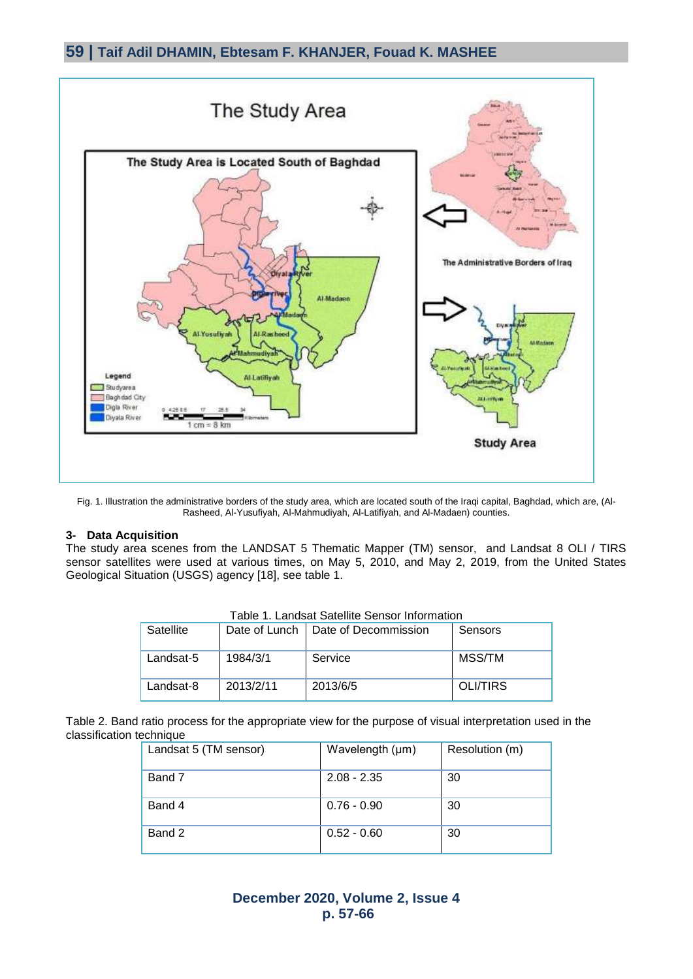

Fig. 1. Illustration the administrative borders of the study area, which are located south of the Iraqi capital, Baghdad, which are, (Al-Rasheed, Al-Yusufiyah, Al-Mahmudiyah, Al-Latifiyah, and Al-Madaen) counties.

#### **3- Data Acquisition**

The study area scenes from the LANDSAT 5 Thematic Mapper (TM) sensor, and Landsat 8 OLI / TIRS sensor satellites were used at various times, on May 5, 2010, and May 2, 2019, from the United States Geological Situation (USGS) agency [18], see table 1.

| , adio , canada calcinio conoci monitalioni |               |                      |          |  |  |  |
|---------------------------------------------|---------------|----------------------|----------|--|--|--|
| Satellite                                   | Date of Lunch | Date of Decommission | Sensors  |  |  |  |
| Landsat-5                                   | 1984/3/1      | Service              | MSS/TM   |  |  |  |
| Landsat-8                                   | 2013/2/11     | 2013/6/5             | OLI/TIRS |  |  |  |

Table 2. Band ratio process for the appropriate view for the purpose of visual interpretation used in the classification technique

| Landsat 5 (TM sensor) | Wavelength (µm) | Resolution (m) |
|-----------------------|-----------------|----------------|
| Band 7                | $2.08 - 2.35$   | -30            |
| Band 4                | $0.76 - 0.90$   | -30            |
| Band 2                | $0.52 - 0.60$   | -30            |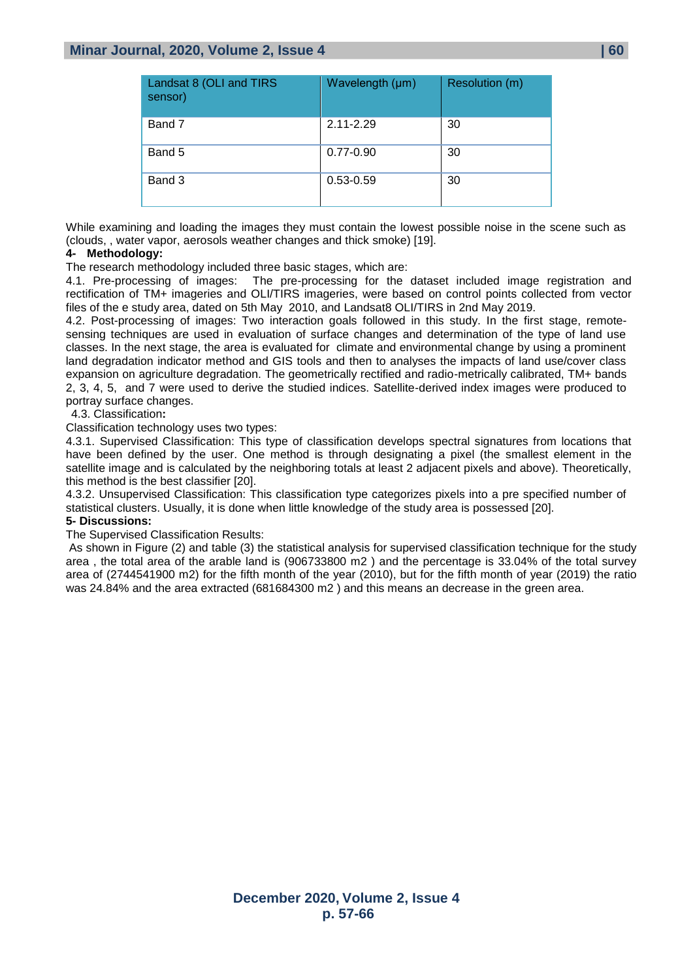### **Minar Journal, 2020, Volume 2, Issue 4 | 60**

| Landsat 8 (OLI and TIRS<br>sensor) | Wavelength (µm) | Resolution (m) |
|------------------------------------|-----------------|----------------|
| Band 7                             | 2.11-2.29       | 30             |
| Band 5                             | $0.77 - 0.90$   | 30             |
| Band 3                             | $0.53 - 0.59$   | 30             |

While examining and loading the images they must contain the lowest possible noise in the scene such as (clouds, , water vapor, aerosols weather changes and thick smoke) [19].

#### **4- Methodology:**

The research methodology included three basic stages, which are:

4.1. Pre-processing of images: The pre-processing for the dataset included image registration and rectification of TM+ imageries and OLI/TIRS imageries, were based on control points collected from vector files of the e study area, dated on 5th May 2010, and Landsat8 OLI/TIRS in 2nd May 2019.

4.2. Post-processing of images: Two interaction goals followed in this study. In the first stage, remotesensing techniques are used in evaluation of surface changes and determination of the type of land use classes. In the next stage, the area is evaluated for climate and environmental change by using a prominent land degradation indicator method and GIS tools and then to analyses the impacts of land use/cover class expansion on agriculture degradation. The geometrically rectified and radio-metrically calibrated, TM+ bands 2, 3, 4, 5, and 7 were used to derive the studied indices. Satellite-derived index images were produced to portray surface changes.

4.3. Classification**:**

Classification technology uses two types:

4.3.1. Supervised Classification: This type of classification develops spectral signatures from locations that have been defined by the user. One method is through designating a pixel (the smallest element in the satellite image and is calculated by the neighboring totals at least 2 adjacent pixels and above). Theoretically, this method is the best classifier [20].

4.3.2. Unsupervised Classification: This classification type categorizes pixels into a pre specified number of statistical clusters. Usually, it is done when little knowledge of the study area is possessed [20].

#### **5- Discussions:**

The Supervised Classification Results:

As shown in Figure (2) and table (3) the statistical analysis for supervised classification technique for the study area , the total area of the arable land is (906733800 m2 ) and the percentage is 33.04% of the total survey area of (2744541900 m2) for the fifth month of the year (2010), but for the fifth month of year (2019) the ratio was 24.84% and the area extracted (681684300 m2) and this means an decrease in the green area.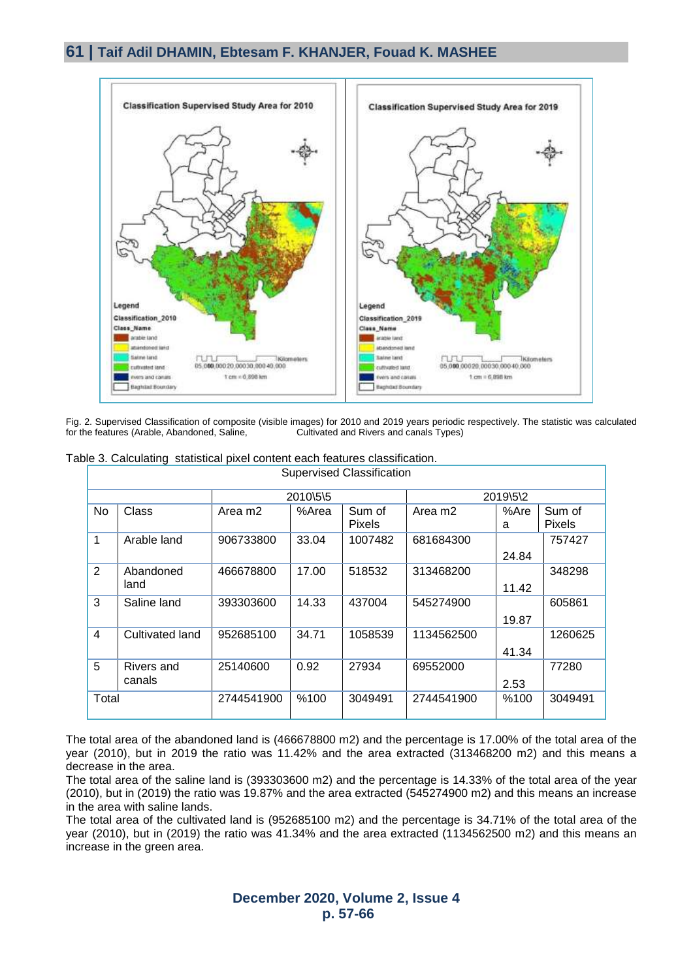### **61 | Taif Adil DHAMIN, Ebtesam F. KHANJER, Fouad K. MASHEE**



Fig. 2. Supervised Classification of composite (visible images) for 2010 and 2019 years periodic respectively. The statistic was calculated for the features (Arable, Abandoned, Saline, Cultivated and Rivers and canals Types)

|              | <b>Supervised Classification</b> |            |       |                         |                     |           |                         |  |
|--------------|----------------------------------|------------|-------|-------------------------|---------------------|-----------|-------------------------|--|
|              |                                  | 2010\5\5   |       |                         | 2019\5\2            |           |                         |  |
| No           | Class                            | Area m2    | %Area | Sum of<br><b>Pixels</b> | Area m <sub>2</sub> | %Are<br>a | Sum of<br><b>Pixels</b> |  |
| $\mathbf{1}$ | Arable land                      | 906733800  | 33.04 | 1007482                 | 681684300           | 24.84     | 757427                  |  |
| 2            | Abandoned<br>land                | 466678800  | 17.00 | 518532                  | 313468200           | 11.42     | 348298                  |  |
| 3            | Saline land                      | 393303600  | 14.33 | 437004                  | 545274900           | 19.87     | 605861                  |  |
| 4            | Cultivated land                  | 952685100  | 34.71 | 1058539                 | 1134562500          | 41.34     | 1260625                 |  |
| 5            | Rivers and<br>canals             | 25140600   | 0.92  | 27934                   | 69552000            | 2.53      | 77280                   |  |
| Total        |                                  | 2744541900 | %100  | 3049491                 | 2744541900          | %100      | 3049491                 |  |

Table 3. Calculating statistical pixel content each features classification.

The total area of the abandoned land is (466678800 m2) and the percentage is 17.00% of the total area of the year (2010), but in 2019 the ratio was 11.42% and the area extracted (313468200 m2) and this means a decrease in the area.

The total area of the saline land is (393303600 m2) and the percentage is 14.33% of the total area of the year (2010), but in (2019) the ratio was 19.87% and the area extracted (545274900 m2) and this means an increase in the area with saline lands.

The total area of the cultivated land is (952685100 m2) and the percentage is 34.71% of the total area of the year (2010), but in (2019) the ratio was 41.34% and the area extracted (1134562500 m2) and this means an increase in the green area.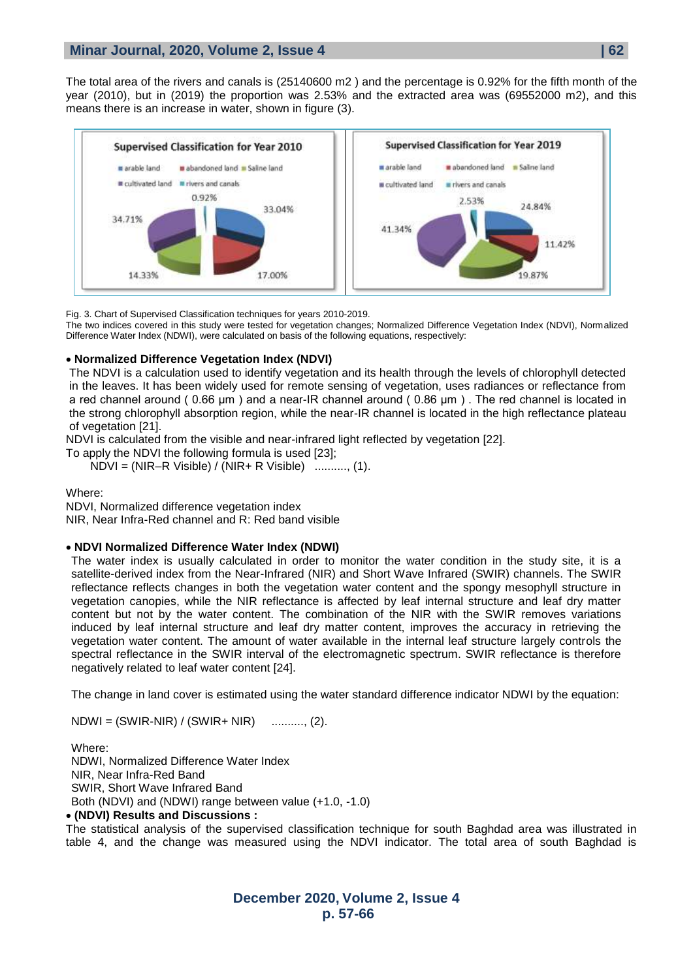The total area of the rivers and canals is (25140600 m2 ) and the percentage is 0.92% for the fifth month of the year (2010), but in (2019) the proportion was 2.53% and the extracted area was (69552000 m2), and this means there is an increase in water, shown in figure (3).



Fig. 3. Chart of Supervised Classification techniques for years 2010-2019.

The two indices covered in this study were tested for vegetation changes; Normalized Difference Vegetation Index (NDVI), Normalized Difference Water Index (NDWI), were calculated on basis of the following equations, respectively:

#### **Normalized Difference Vegetation Index (NDVI)**

The NDVI is a calculation used to identify vegetation and its health through the levels of chlorophyll detected in the leaves. It has been widely used for remote sensing of vegetation, uses radiances or reflectance from a red channel around ( 0.66 μm ) and a near-IR channel around ( 0.86 μm ) . The red channel is located in the strong chlorophyll absorption region, while the near-IR channel is located in the high reflectance plateau of vegetation [21].

NDVI is calculated from the visible and near-infrared light reflected by vegetation [22].

To apply the NDVI the following formula is used [23];

NDVI = (NIR–R Visible) / (NIR+ R Visible) .........., (1).

Where: NDVI, Normalized difference vegetation index NIR, Near Infra-Red channel and R: Red band visible

#### **NDVI Normalized Difference Water Index (NDWI)**

The water index is usually calculated in order to monitor the water condition in the study site, it is a satellite-derived index from the Near-Infrared (NIR) and Short Wave Infrared (SWIR) channels. The SWIR reflectance reflects changes in both the vegetation water content and the spongy mesophyll structure in vegetation canopies, while the NIR reflectance is affected by leaf internal structure and leaf dry matter content but not by the water content. The combination of the NIR with the SWIR removes variations induced by leaf internal structure and leaf dry matter content, improves the accuracy in retrieving the vegetation water content. The amount of water available in the internal leaf structure largely controls the spectral reflectance in the SWIR interval of the electromagnetic spectrum. SWIR reflectance is therefore negatively related to leaf water content [24].

The change in land cover is estimated using the water standard difference indicator NDWI by the equation:

 $NDWI = (SWIR-NIR) / (SWIR+ NIR)$  ........., (2).

Where: NDWI, Normalized Difference Water Index NIR, Near Infra-Red Band SWIR, Short Wave Infrared Band Both (NDVI) and (NDWI) range between value (+1.0, -1.0)

#### **(NDVI) Results and Discussions :**

The statistical analysis of the supervised classification technique for south Baghdad area was illustrated in table 4, and the change was measured using the NDVI indicator. The total area of south Baghdad is

> **December 2020, Volume 2, Issue 4 p. 57-66**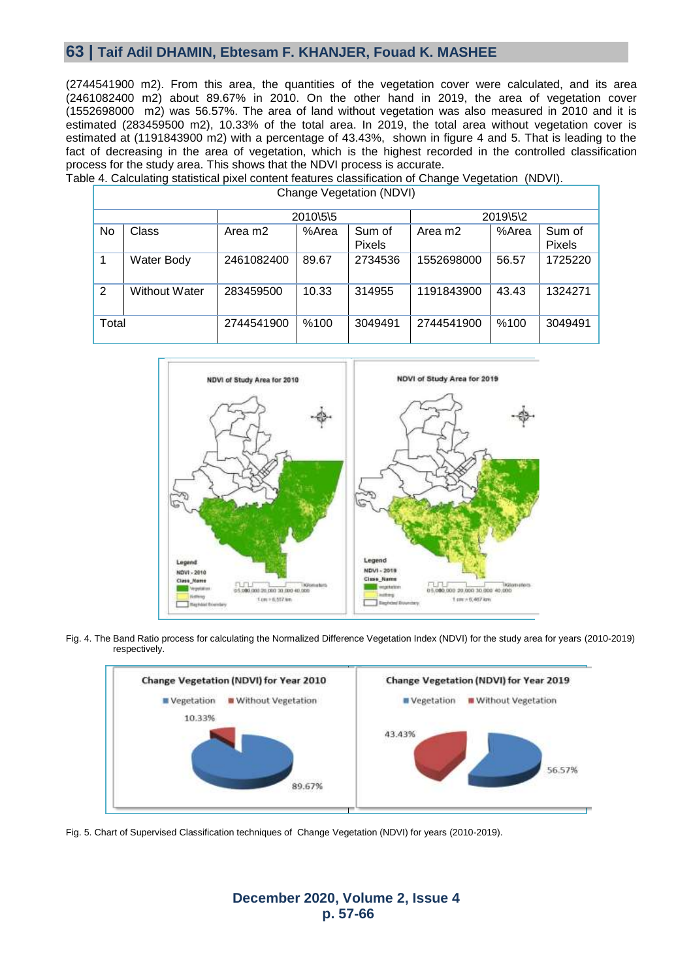### **63 | Taif Adil DHAMIN, Ebtesam F. KHANJER, Fouad K. MASHEE**

(2744541900 m2). From this area, the quantities of the vegetation cover were calculated, and its area (2461082400 m2) about 89.67% in 2010. On the other hand in 2019, the area of vegetation cover (1552698000 m2) was 56.57%. The area of land without vegetation was also measured in 2010 and it is estimated (283459500 m2), 10.33% of the total area. In 2019, the total area without vegetation cover is estimated at (1191843900 m2) with a percentage of 43.43%, shown in figure 4 and 5. That is leading to the fact of decreasing in the area of vegetation, which is the highest recorded in the controlled classification process for the study area. This shows that the NDVI process is accurate. Table 4. Calculating statistical pixel content features classification of Change Vegetation (NDVI).

| Change Vegetation (NDVI) |               |                     |          |                         |                     |          |                         |
|--------------------------|---------------|---------------------|----------|-------------------------|---------------------|----------|-------------------------|
|                          |               |                     | 2010\5\5 |                         |                     | 2019\5\2 |                         |
| No                       | Class         | Area m <sub>2</sub> | %Area    | Sum of<br><b>Pixels</b> | Area m <sub>2</sub> | %Area    | Sum of<br><b>Pixels</b> |
|                          | Water Body    | 2461082400          | 89.67    | 2734536                 | 1552698000          | 56.57    | 1725220                 |
| 2                        | Without Water | 283459500           | 10.33    | 314955                  | 1191843900          | 43.43    | 1324271                 |
| Total                    |               | 2744541900          | %100     | 3049491                 | 2744541900          | %100     | 3049491                 |

# NDVI of Study Area for 2019 NDVI of Study Area for 2010 Legend Legend NDVI - 2019 NOVI - 2010 Class Name Class Name 000,000 20,000 30,000 40,0  $t_{100}$  > 6.557 km  $1$  cm  $\approx$  6.407 km

Fig. 4. The Band Ratio process for calculating the Normalized Difference Vegetation Index (NDVI) for the study area for years (2010-2019) respectively.



Fig. 5. Chart of Supervised Classification techniques of Change Vegetation (NDVI) for years (2010-2019).

### **December 2020, Volume 2, Issue 4 p. 57-66**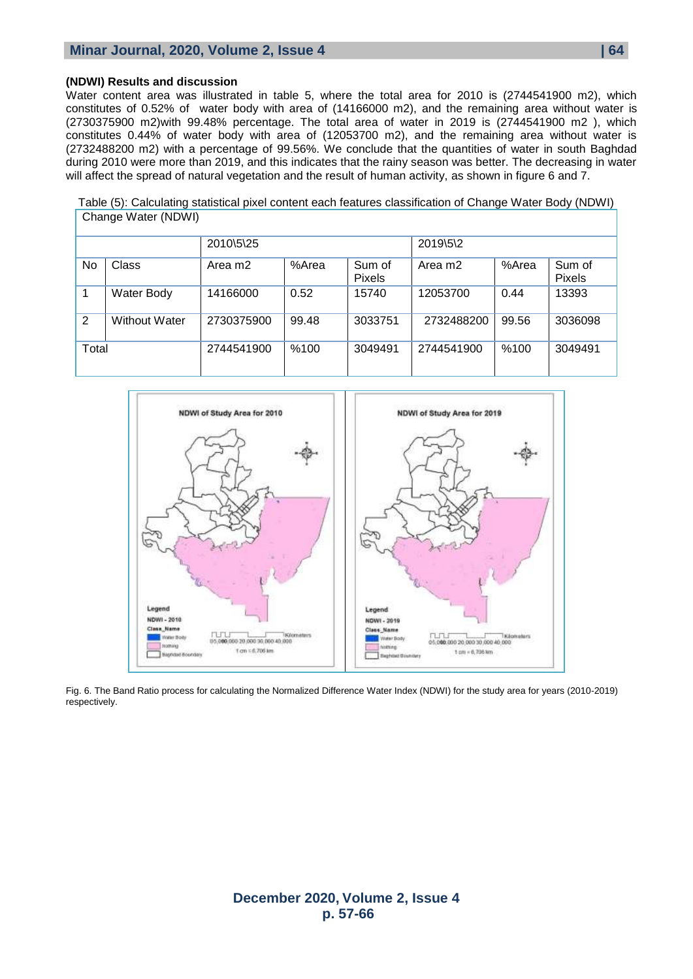### **Minar Journal, 2020, Volume 2, Issue 4**  $\blacksquare$  **64**

#### **(NDWI) Results and discussion**

Water content area was illustrated in table 5, where the total area for 2010 is (2744541900 m2), which constitutes of 0.52% of water body with area of (14166000 m2), and the remaining area without water is (2730375900 m2)with 99.48% percentage. The total area of water in 2019 is (2744541900 m2 ), which constitutes 0.44% of water body with area of (12053700 m2), and the remaining area without water is (2732488200 m2) with a percentage of 99.56%. We conclude that the quantities of water in south Baghdad during 2010 were more than 2019, and this indicates that the rainy season was better. The decreasing in water will affect the spread of natural vegetation and the result of human activity, as shown in figure 6 and 7.

Table (5): Calculating statistical pixel content each features classification of Change Water Body (NDWI) Change Water (NDWI)

|       |                      | 2010\5\25           |       |                         | 2019\5\2            |       |                         |
|-------|----------------------|---------------------|-------|-------------------------|---------------------|-------|-------------------------|
| No    | <b>Class</b>         | Area m <sub>2</sub> | %Area | Sum of<br><b>Pixels</b> | Area m <sub>2</sub> | %Area | Sum of<br><b>Pixels</b> |
|       | Water Body           | 14166000            | 0.52  | 15740                   | 12053700            | 0.44  | 13393                   |
| 2     | <b>Without Water</b> | 2730375900          | 99.48 | 3033751                 | 2732488200          | 99.56 | 3036098                 |
| Total |                      | 2744541900          | %100  | 3049491                 | 2744541900          | %100  | 3049491                 |



Fig. 6. The Band Ratio process for calculating the Normalized Difference Water Index (NDWI) for the study area for years (2010-2019) respectively.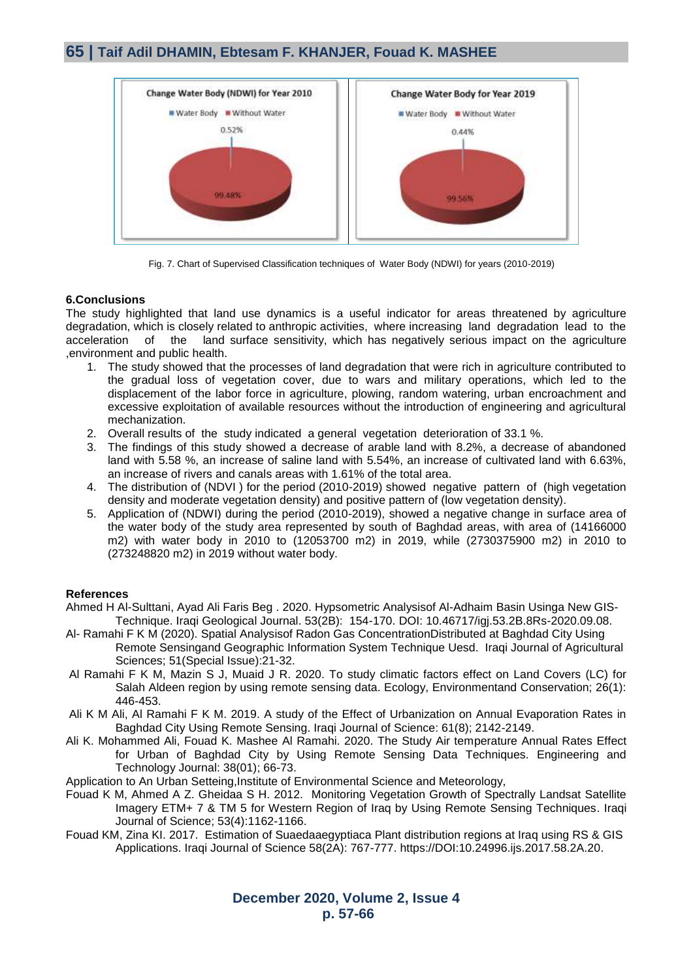### **65 | Taif Adil DHAMIN, Ebtesam F. KHANJER, Fouad K. MASHEE**



Fig. 7. Chart of Supervised Classification techniques of Water Body (NDWI) for years (2010-2019)

#### **6.Conclusions**

The study highlighted that land use dynamics is a useful indicator for areas threatened by agriculture degradation, which is closely related to anthropic activities, where increasing land degradation lead to the acceleration of the land surface sensitivity, which has negatively serious impact on the agriculture ,environment and public health.

- 1. The study showed that the processes of land degradation that were rich in agriculture contributed to the gradual loss of vegetation cover, due to wars and military operations, which led to the displacement of the labor force in agriculture, plowing, random watering, urban encroachment and excessive exploitation of available resources without the introduction of engineering and agricultural mechanization.
- 2. Overall results of the study indicated a general vegetation deterioration of 33.1 %.
- 3. The findings of this study showed a decrease of arable land with 8.2%, a decrease of abandoned land with 5.58 %, an increase of saline land with 5.54%, an increase of cultivated land with 6.63%, an increase of rivers and canals areas with 1.61% of the total area.
- 4. The distribution of (NDVI ) for the period (2010-2019) showed negative pattern of (high vegetation density and moderate vegetation density) and positive pattern of (low vegetation density).
- 5. Application of (NDWI) during the period (2010-2019), showed a negative change in surface area of the water body of the study area represented by south of Baghdad areas, with area of (14166000 m2) with water body in 2010 to (12053700 m2) in 2019, while (2730375900 m2) in 2010 to (273248820 m2) in 2019 without water body.

#### **References**

- [Ahmed H Al-Sulttani,](https://www.researchgate.net/profile/Ahmed_Al-Sulttani?_sg%5B0%5D=gPiec3ajyo_Ivig_u0phBNb165P9-u8EsKyt-bCKDIomWtCeMq0gybzFlpspSpT9i1YPlq4._f97W8IlalJWN2cnbiyb53xxP46WvK1ZEU2edQpumVxR5cqxerGNCsC37bLDwfwNKQgUX__iXrsMTsk-OQxcGA&_sg%5B1%5D=spb9O3kOt5aTR151byJY7Mw_b2tP7yBUTIi-5aKxMwbSb-NALb5mPe_quLix5KA3ohvk6aY.Q5DB_tZ6EC-G9-5Zugyg6GaTpJVTLJteG3kBlGdnZLHdqzrJZOF_U5NL4leD4gzn6ZmTQz7Klwv_-piYSamSAw) [Ayad Ali Faris Beg](https://www.researchgate.net/profile/Ayad_Beg2?_sg%5B0%5D=gPiec3ajyo_Ivig_u0phBNb165P9-u8EsKyt-bCKDIomWtCeMq0gybzFlpspSpT9i1YPlq4._f97W8IlalJWN2cnbiyb53xxP46WvK1ZEU2edQpumVxR5cqxerGNCsC37bLDwfwNKQgUX__iXrsMTsk-OQxcGA&_sg%5B1%5D=spb9O3kOt5aTR151byJY7Mw_b2tP7yBUTIi-5aKxMwbSb-NALb5mPe_quLix5KA3ohvk6aY.Q5DB_tZ6EC-G9-5Zugyg6GaTpJVTLJteG3kBlGdnZLHdqzrJZOF_U5NL4leD4gzn6ZmTQz7Klwv_-piYSamSAw) . 2020. Hypsometric Analysisof Al-Adhaim Basin Usinga New GIS-Technique. Iraqi Geological Journal. 53(2B): 154-170. DOI: 10.46717/igj.53.2B.8Rs-2020.09.08.
- Al- Ramahi F K M (2020). Spatial Analysisof Radon Gas ConcentrationDistributed at Baghdad City Using Remote Sensingand Geographic Information System Technique Uesd. Iraqi Journal of Agricultural Sciences; 51(Special Issue):21-32.
- Al Ramahi F K M, Mazin S J, Muaid J R. 2020. To study climatic factors effect on Land Covers (LC) for Salah Aldeen region by using remote sensing data. Ecology, Environmentand Conservation; 26(1): 446-453.
- Ali K M Ali, Al Ramahi F K M. 2019. A study of the Effect of Urbanization on Annual Evaporation Rates in Baghdad City Using Remote Sensing. Iraqi Journal of Science: 61(8); 2142-2149.
- Ali K. Mohammed Ali, Fouad K. Mashee Al Ramahi. 2020. The Study Air temperature Annual Rates Effect for Urban of Baghdad City by Using Remote Sensing Data Techniques. Engineering and Technology Journal: 38(01); 66-73.
- Application to An Urban Setteing,Institute of Environmental Science and Meteorology,
- Fouad K M, Ahmed A Z. Gheidaa S H. 2012. [Monitoring Vegetation Growth of Spectrally Landsat Satellite](https://www.iasj.net/iasj?func=article&aId=88177)  [Imagery ETM+ 7 & TM 5 for Western Region of Iraq by Using Remote Sensing Techniques.](https://www.iasj.net/iasj?func=article&aId=88177) Iraqi Journal of Science; 53(4):1162-1166.
- Fouad KM, Zina KI. 2017. Estimation of Suaedaaegyptiaca Plant distribution regions at Iraq using RS & GIS Applications. Iraqi Journal of Science 58(2A): 767-777. [https://DOI:10.24996.ijs.2017.58.2A.20.](about:blank)

**December 2020, Volume 2, Issue 4 p. 57-66**